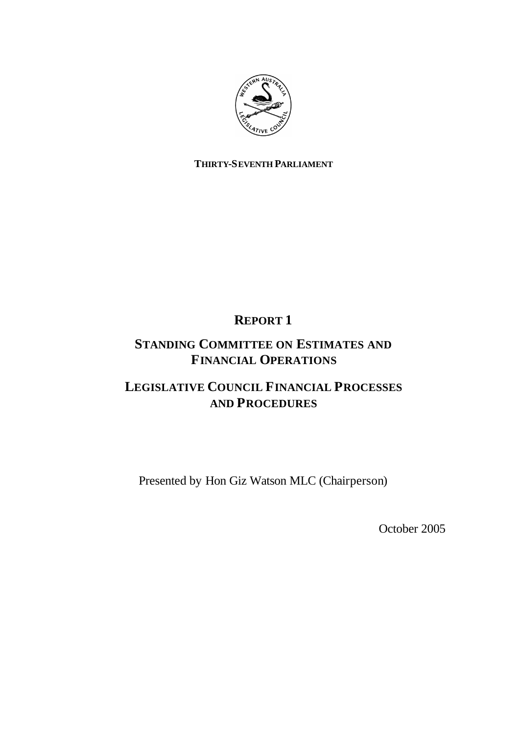

# **THIRTY-SEVENTH PARLIAMENT**

# **REPORT 1**

# **STANDING COMMITTEE ON ESTIMATES AND FINANCIAL OPERATIONS**

# **LEGISLATIVE COUNCIL FINANCIAL PROCESSES AND PROCEDURES**

Presented by Hon Giz Watson MLC (Chairperson)

October 2005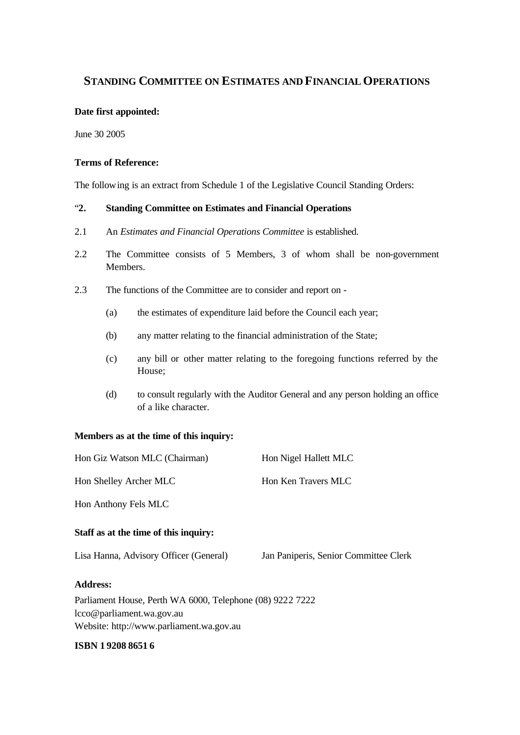# **STANDING COMMITTEE ON ESTIMATES AND FINANCIAL OPERATIONS**

#### **Date first appointed:**

June 30 2005

#### **Terms of Reference:**

The following is an extract from Schedule 1 of the Legislative Council Standing Orders:

# "**2. Standing Committee on Estimates and Financial Operations**

- 2.1 An *Estimates and Financial Operations Committee* is established.
- 2.2 The Committee consists of 5 Members, 3 of whom shall be non-government Members.
- 2.3 The functions of the Committee are to consider and report on
	- (a) the estimates of expenditure laid before the Council each year;
	- (b) any matter relating to the financial administration of the State;
	- (c) any bill or other matter relating to the foregoing functions referred by the House;
	- (d) to consult regularly with the Auditor General and any person holding an office of a like character.

#### **Members as at the time of this inquiry:**

| Hon Giz Watson MLC (Chairman)                                                                                                      | Hon Nigel Hallett MLC                 |
|------------------------------------------------------------------------------------------------------------------------------------|---------------------------------------|
| Hon Shelley Archer MLC                                                                                                             | Hon Ken Travers MLC                   |
| Hon Anthony Fels MLC                                                                                                               |                                       |
| Staff as at the time of this inquiry:                                                                                              |                                       |
| Lisa Hanna, Advisory Officer (General)                                                                                             | Jan Paniperis, Senior Committee Clerk |
| <b>Address:</b>                                                                                                                    |                                       |
| Parliament House, Perth WA 6000, Telephone (08) 9222 7222<br>lcco@parliament.wa.gov.au<br>Website: http://www.parliament.wa.gov.au |                                       |
|                                                                                                                                    |                                       |

#### **ISBN 1 9208 8651 6**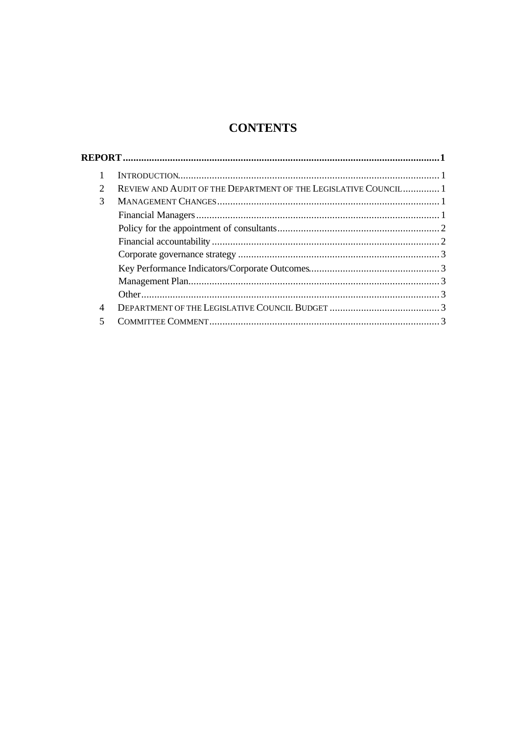# **CONTENTS**

| $\mathcal{D}_{\mathcal{L}}$ | REVIEW AND AUDIT OF THE DEPARTMENT OF THE LEGISLATIVE COUNCIL 1 |  |
|-----------------------------|-----------------------------------------------------------------|--|
| 3                           |                                                                 |  |
|                             |                                                                 |  |
|                             |                                                                 |  |
|                             |                                                                 |  |
|                             |                                                                 |  |
|                             |                                                                 |  |
|                             |                                                                 |  |
|                             |                                                                 |  |
| 4                           |                                                                 |  |
|                             |                                                                 |  |
|                             |                                                                 |  |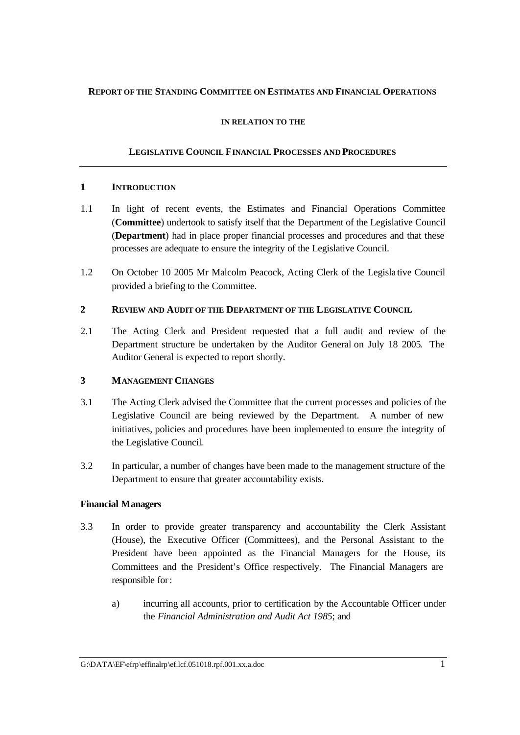# **REPORT OF THE STANDING COMMITTEE ON ESTIMATES AND FINANCIAL OPERATIONS**

#### **IN RELATION TO THE**

# **LEGISLATIVE COUNCIL FINANCIAL PROCESSES AND PROCEDURES**

#### **1 INTRODUCTION**

- 1.1 In light of recent events, the Estimates and Financial Operations Committee (**Committee**) undertook to satisfy itself that the Department of the Legislative Council (**Department**) had in place proper financial processes and procedures and that these processes are adequate to ensure the integrity of the Legislative Council.
- 1.2 On October 10 2005 Mr Malcolm Peacock, Acting Clerk of the Legisla tive Council provided a briefing to the Committee.

## **2 REVIEW AND AUDIT OF THE DEPARTMENT OF THE LEGISLATIVE COUNCIL**

2.1 The Acting Clerk and President requested that a full audit and review of the Department structure be undertaken by the Auditor General on July 18 2005. The Auditor General is expected to report shortly.

## **3 MANAGEMENT CHANGES**

- 3.1 The Acting Clerk advised the Committee that the current processes and policies of the Legislative Council are being reviewed by the Department. A number of new initiatives, policies and procedures have been implemented to ensure the integrity of the Legislative Council.
- 3.2 In particular, a number of changes have been made to the management structure of the Department to ensure that greater accountability exists.

## **Financial Managers**

- 3.3 In order to provide greater transparency and accountability the Clerk Assistant (House), the Executive Officer (Committees), and the Personal Assistant to the President have been appointed as the Financial Managers for the House, its Committees and the President's Office respectively. The Financial Managers are responsible for:
	- a) incurring all accounts, prior to certification by the Accountable Officer under the *Financial Administration and Audit Act 1985*; and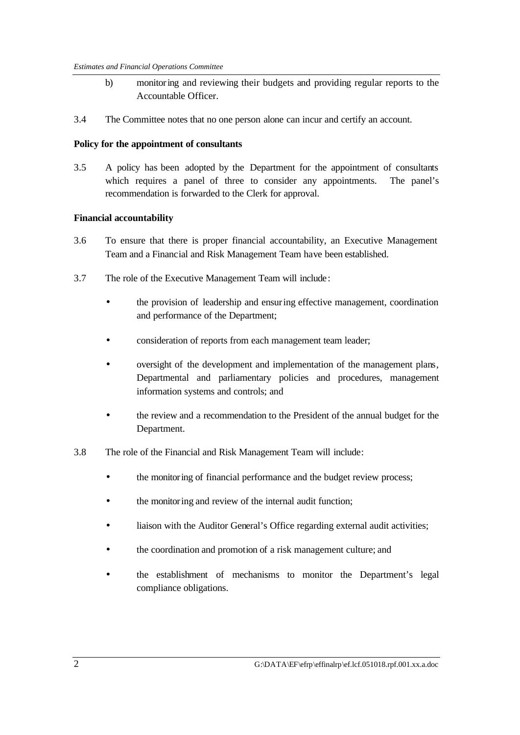- b) monitoring and reviewing their budgets and providing regular reports to the Accountable Officer.
- 3.4 The Committee notes that no one person alone can incur and certify an account.

#### **Policy for the appointment of consultants**

3.5 A policy has been adopted by the Department for the appointment of consultants which requires a panel of three to consider any appointments. The panel's recommendation is forwarded to the Clerk for approval.

#### **Financial accountability**

- 3.6 To ensure that there is proper financial accountability, an Executive Management Team and a Financial and Risk Management Team have been established.
- 3.7 The role of the Executive Management Team will include:
	- the provision of leadership and ensuring effective management, coordination and performance of the Department;
	- consideration of reports from each management team leader;
	- oversight of the development and implementation of the management plans, Departmental and parliamentary policies and procedures, management information systems and controls; and
	- the review and a recommendation to the President of the annual budget for the Department.
- 3.8 The role of the Financial and Risk Management Team will include:
	- the monitoring of financial performance and the budget review process;
	- the monitoring and review of the internal audit function;
	- liaison with the Auditor General's Office regarding external audit activities;
	- the coordination and promotion of a risk management culture; and
	- the establishment of mechanisms to monitor the Department's legal compliance obligations.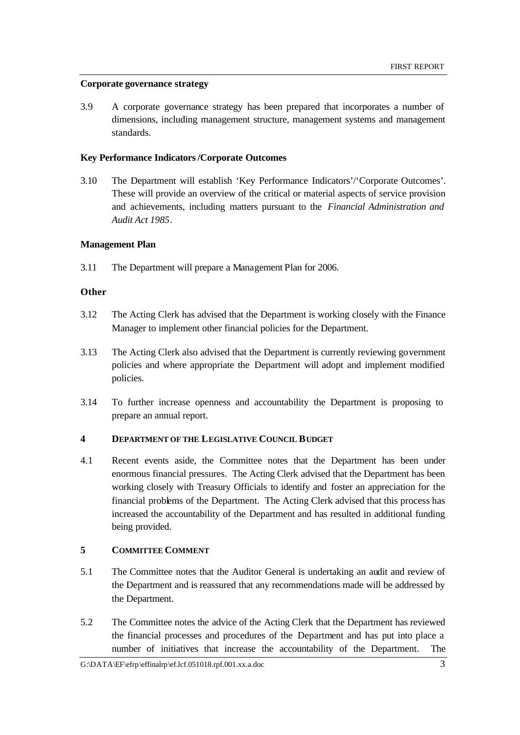#### **Corporate governance strategy**

3.9 A corporate governance strategy has been prepared that incorporates a number of dimensions, including management structure, management systems and management standards.

#### **Key Performance Indicators/Corporate Outcomes**

3.10 The Department will establish 'Key Performance Indicators'/'Corporate Outcomes'. These will provide an overview of the critical or material aspects of service provision and achievements, including matters pursuant to the *Financial Administration and Audit Act 1985*.

## **Management Plan**

3.11 The Department will prepare a Management Plan for 2006.

## **Other**

- 3.12 The Acting Clerk has advised that the Department is working closely with the Finance Manager to implement other financial policies for the Department.
- 3.13 The Acting Clerk also advised that the Department is currently reviewing government policies and where appropriate the Department will adopt and implement modified policies.
- 3.14 To further increase openness and accountability the Department is proposing to prepare an annual report.

## **4 DEPARTMENT OF THE LEGISLATIVE COUNCIL BUDGET**

4.1 Recent events aside, the Committee notes that the Department has been under enormous financial pressures. The Acting Clerk advised that the Department has been working closely with Treasury Officials to identify and foster an appreciation for the financial problems of the Department. The Acting Clerk advised that this process has increased the accountability of the Department and has resulted in additional funding being provided.

# **5 COMMITTEE COMMENT**

- 5.1 The Committee notes that the Auditor General is undertaking an audit and review of the Department and is reassured that any recommendations made will be addressed by the Department.
- 5.2 The Committee notes the advice of the Acting Clerk that the Department has reviewed the financial processes and procedures of the Department and has put into place a number of initiatives that increase the accountability of the Department. The